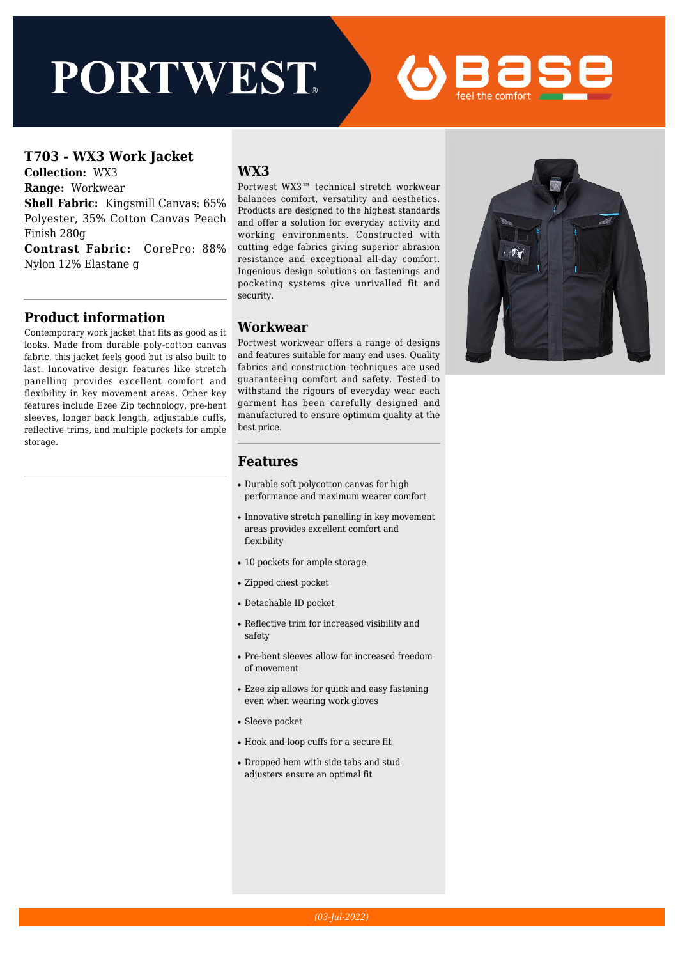# **PORTWEST**

#### **T703 - WX3 Work Jacket**

**Collection:** WX3

**Range:** Workwear

**Shell Fabric:** Kingsmill Canvas: 65% Polyester, 35% Cotton Canvas Peach Finish 280g

**Contrast Fabric:** CorePro: 88% Nylon 12% Elastane g

#### **Product information**

Contemporary work jacket that fits as good as it looks. Made from durable poly-cotton canvas fabric, this jacket feels good but is also built to last. Innovative design features like stretch panelling provides excellent comfort and flexibility in key movement areas. Other key features include Ezee Zip technology, pre-bent sleeves, longer back length, adjustable cuffs, reflective trims, and multiple pockets for ample storage.

### **WX3**

Portwest WX3™ technical stretch workwear balances comfort, versatility and aesthetics. Products are designed to the highest standards and offer a solution for everyday activity and working environments. Constructed with cutting edge fabrics giving superior abrasion resistance and exceptional all-day comfort. Ingenious design solutions on fastenings and pocketing systems give unrivalled fit and security.

#### **Workwear**

Portwest workwear offers a range of designs and features suitable for many end uses. Quality fabrics and construction techniques are used guaranteeing comfort and safety. Tested to withstand the rigours of everyday wear each garment has been carefully designed and manufactured to ensure optimum quality at the best price.



#### **Features**

- Durable soft polycotton canvas for high performance and maximum wearer comfort
- Innovative stretch panelling in key movement areas provides excellent comfort and flexibility
- 10 pockets for ample storage
- Zipped chest pocket
- Detachable ID pocket
- Reflective trim for increased visibility and safety
- Pre-bent sleeves allow for increased freedom of movement
- Ezee zip allows for quick and easy fastening even when wearing work gloves
- Sleeve pocket
- Hook and loop cuffs for a secure fit
- Dropped hem with side tabs and stud adjusters ensure an optimal fit